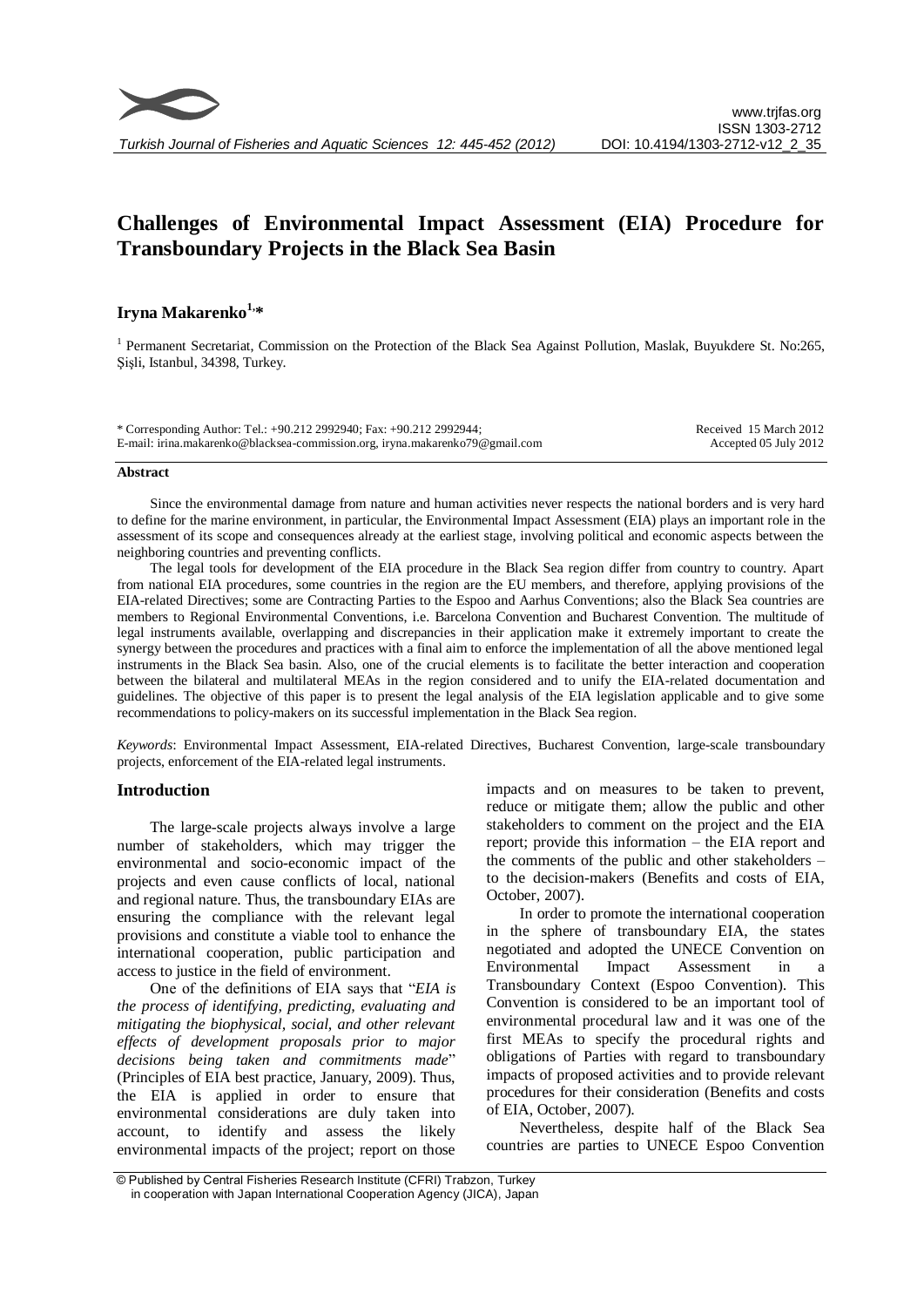# **Challenges of Environmental Impact Assessment (EIA) Procedure for Transboundary Projects in the Black Sea Basin**

# **Iryna Makarenko 1,\***

<sup>1</sup> Permanent Secretariat, Commission on the Protection of the Black Sea Against Pollution, Maslak, Buyukdere St. No:265, Şişli, Istanbul, 34398, Turkey.

| * Corresponding Author: Tel.: +90.212 2992940; Fax: +90.212 2992944;         | Received 15 March 2012 |
|------------------------------------------------------------------------------|------------------------|
| E-mail: irina.makarenko@blacksea-commission.org, iryna.makarenko79@gmail.com | Accepted 05 July 2012  |

#### **Abstract**

Since the environmental damage from nature and human activities never respects the national borders and is very hard to define for the marine environment, in particular, the Environmental Impact Assessment (EIA) plays an important role in the assessment of its scope and consequences already at the earliest stage, involving political and economic aspects between the neighboring countries and preventing conflicts.

The legal tools for development of the EIA procedure in the Black Sea region differ from country to country. Apart from national EIA procedures, some countries in the region are the EU members, and therefore, applying provisions of the EIA-related Directives; some are Contracting Parties to the Espoo and Aarhus Conventions; also the Black Sea countries are members to Regional Environmental Conventions, i.e. Barcelona Convention and Bucharest Convention. The multitude of legal instruments available, overlapping and discrepancies in their application make it extremely important to create the synergy between the procedures and practices with a final aim to enforce the implementation of all the above mentioned legal instruments in the Black Sea basin. Also, one of the crucial elements is to facilitate the better interaction and cooperation between the bilateral and multilateral MEAs in the region considered and to unify the EIA-related documentation and guidelines. The objective of this paper is to present the legal analysis of the EIA legislation applicable and to give some recommendations to policy-makers on its successful implementation in the Black Sea region.

*Keywords*: Environmental Impact Assessment, EIA-related Directives, Bucharest Convention, large-scale transboundary projects, enforcement of the EIA-related legal instruments.

# **Introduction**

The large-scale projects always involve a large number of stakeholders, which may trigger the environmental and socio-economic impact of the projects and even cause conflicts of local, national and regional nature. Thus, the transboundary EIAs are ensuring the compliance with the relevant legal provisions and constitute a viable tool to enhance the international cooperation, public participation and access to justice in the field of environment.

One of the definitions of EIA says that "*EIA is the process of identifying, predicting, evaluating and mitigating the biophysical, social, and other relevant effects of development proposals prior to major decisions being taken and commitments made*" (Principles of EIA best practice, January, 2009). Thus, the EIA is applied in order to ensure that environmental considerations are duly taken into account, to identify and assess the likely environmental impacts of the project; report on those

impacts and on measures to be taken to prevent, reduce or mitigate them; allow the public and other stakeholders to comment on the project and the EIA report; provide this information – the EIA report and the comments of the public and other stakeholders – to the decision-makers (Benefits and costs of EIA, October, 2007).

In order to promote the international cooperation in the sphere of transboundary EIA, the states negotiated and adopted the UNECE Convention on Environmental Impact Assessment in a Transboundary Context (Espoo Convention). This Convention is considered to be an important tool of environmental procedural law and it was one of the first MEAs to specify the procedural rights and obligations of Parties with regard to transboundary impacts of proposed activities and to provide relevant procedures for their consideration (Benefits and costs of EIA, October, 2007).

Nevertheless, despite half of the Black Sea countries are parties to UNECE Espoo Convention

<sup>©</sup> Published by Central Fisheries Research Institute (CFRI) Trabzon, Turkey in cooperation with Japan International Cooperation Agency (JICA), Japan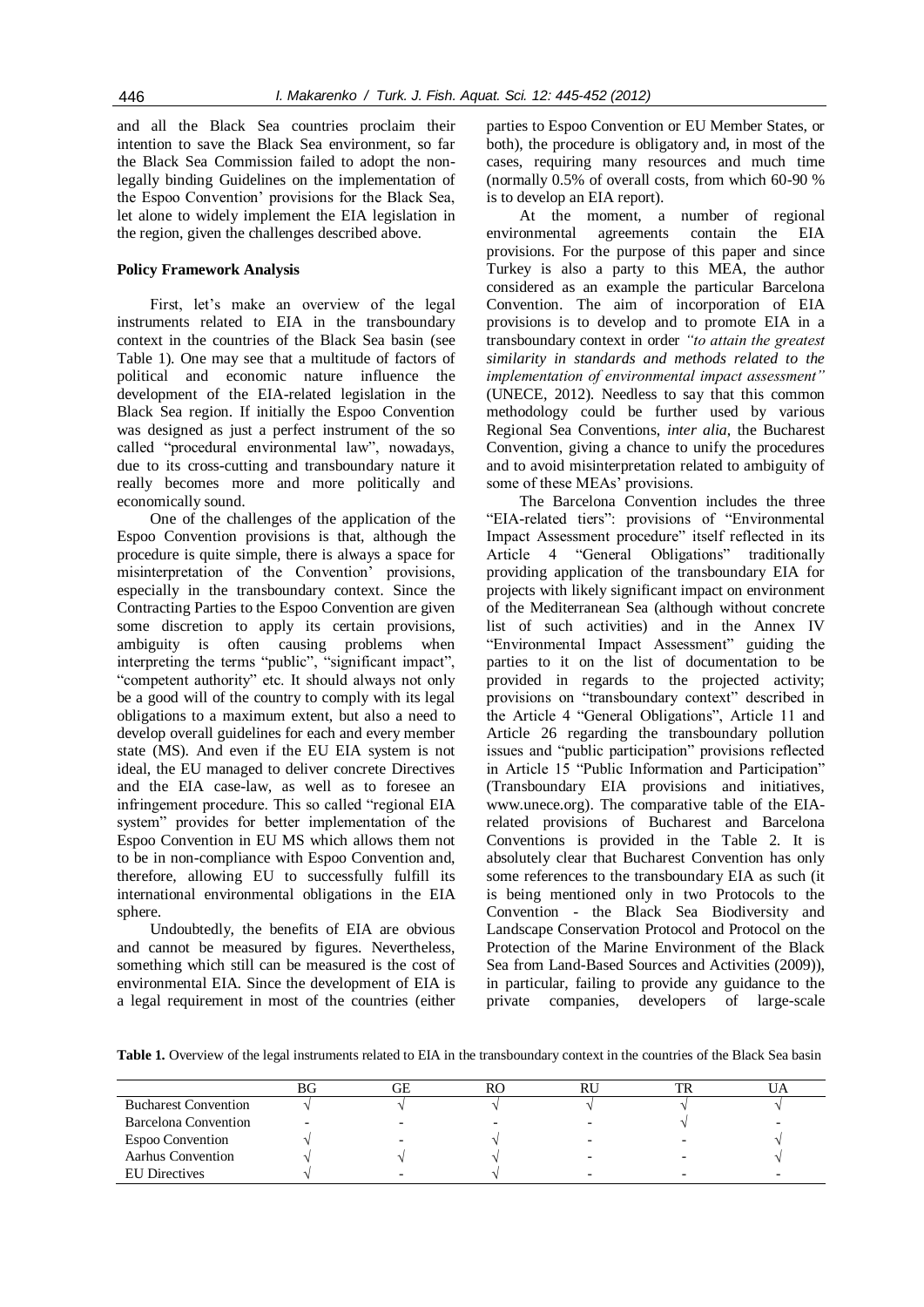and all the Black Sea countries proclaim their intention to save the Black Sea environment, so far the Black Sea Commission failed to adopt the nonlegally binding Guidelines on the implementation of the Espoo Convention' provisions for the Black Sea, let alone to widely implement the EIA legislation in the region, given the challenges described above.

### **Policy Framework Analysis**

First, let's make an overview of the legal instruments related to EIA in the transboundary context in the countries of the Black Sea basin (see Table 1). One may see that a multitude of factors of political and economic nature influence the development of the EIA-related legislation in the Black Sea region. If initially the Espoo Convention was designed as just a perfect instrument of the so called "procedural environmental law", nowadays, due to its cross-cutting and transboundary nature it really becomes more and more politically and economically sound.

One of the challenges of the application of the Espoo Convention provisions is that, although the procedure is quite simple, there is always a space for misinterpretation of the Convention' provisions, especially in the transboundary context. Since the Contracting Parties to the Espoo Convention are given some discretion to apply its certain provisions, ambiguity is often causing problems when interpreting the terms "public", "significant impact", "competent authority" etc. It should always not only be a good will of the country to comply with its legal obligations to a maximum extent, but also a need to develop overall guidelines for each and every member state (MS). And even if the EU EIA system is not ideal, the EU managed to deliver concrete Directives and the EIA case-law, as well as to foresee an infringement procedure. This so called "regional EIA system" provides for better implementation of the Espoo Convention in EU MS which allows them not to be in non-compliance with Espoo Convention and, therefore, allowing EU to successfully fulfill its international environmental obligations in the EIA sphere.

Undoubtedly, the benefits of EIA are obvious and cannot be measured by figures. Nevertheless, something which still can be measured is the cost of environmental EIA. Since the development of EIA is a legal requirement in most of the countries (either

parties to Espoo Convention or EU Member States, or both), the procedure is obligatory and, in most of the cases, requiring many resources and much time (normally 0.5% of overall costs, from which 60-90 % is to develop an EIA report).

At the moment, a number of regional environmental agreements contain the EIA provisions. For the purpose of this paper and since Turkey is also a party to this MEA, the author considered as an example the particular Barcelona Convention. The aim of incorporation of EIA provisions is to develop and to promote EIA in a transboundary context in order *"to attain the greatest similarity in standards and methods related to the implementation of environmental impact assessment"*  (UNECE, 2012). Needless to say that this common methodology could be further used by various Regional Sea Conventions, *inter alia*, the Bucharest Convention, giving a chance to unify the procedures and to avoid misinterpretation related to ambiguity of some of these MEAs' provisions.

The Barcelona Convention includes the three "EIA-related tiers": provisions of "Environmental Impact Assessment procedure" itself reflected in its Article 4 "General Obligations" traditionally providing application of the transboundary EIA for projects with likely significant impact on environment of the Mediterranean Sea (although without concrete list of such activities) and in the Annex IV "Environmental Impact Assessment" guiding the parties to it on the list of documentation to be provided in regards to the projected activity; provisions on "transboundary context" described in the Article 4 "General Obligations", Article 11 and Article 26 regarding the transboundary pollution issues and "public participation" provisions reflected in Article 15 "Public Information and Participation" (Transboundary EIA provisions and initiatives, www.unece.org). The comparative table of the EIArelated provisions of Bucharest and Barcelona Conventions is provided in the Table 2. It is absolutely clear that Bucharest Convention has only some references to the transboundary EIA as such (it is being mentioned only in two Protocols to the Convention - the Black Sea Biodiversity and Landscape Conservation Protocol and Protocol on the Protection of the Marine Environment of the Black Sea from Land-Based Sources and Activities (2009)), in particular, failing to provide any guidance to the private companies, developers of large-scale

**Table 1.** Overview of the legal instruments related to EIA in the transboundary context in the countries of the Black Sea basin

|                             | ВG | ЭE | RU |  |
|-----------------------------|----|----|----|--|
| <b>Bucharest Convention</b> |    |    |    |  |
| Barcelona Convention        |    |    |    |  |
| <b>Espoo Convention</b>     |    |    |    |  |
| <b>Aarhus Convention</b>    |    |    |    |  |
| <b>EU</b> Directives        |    |    |    |  |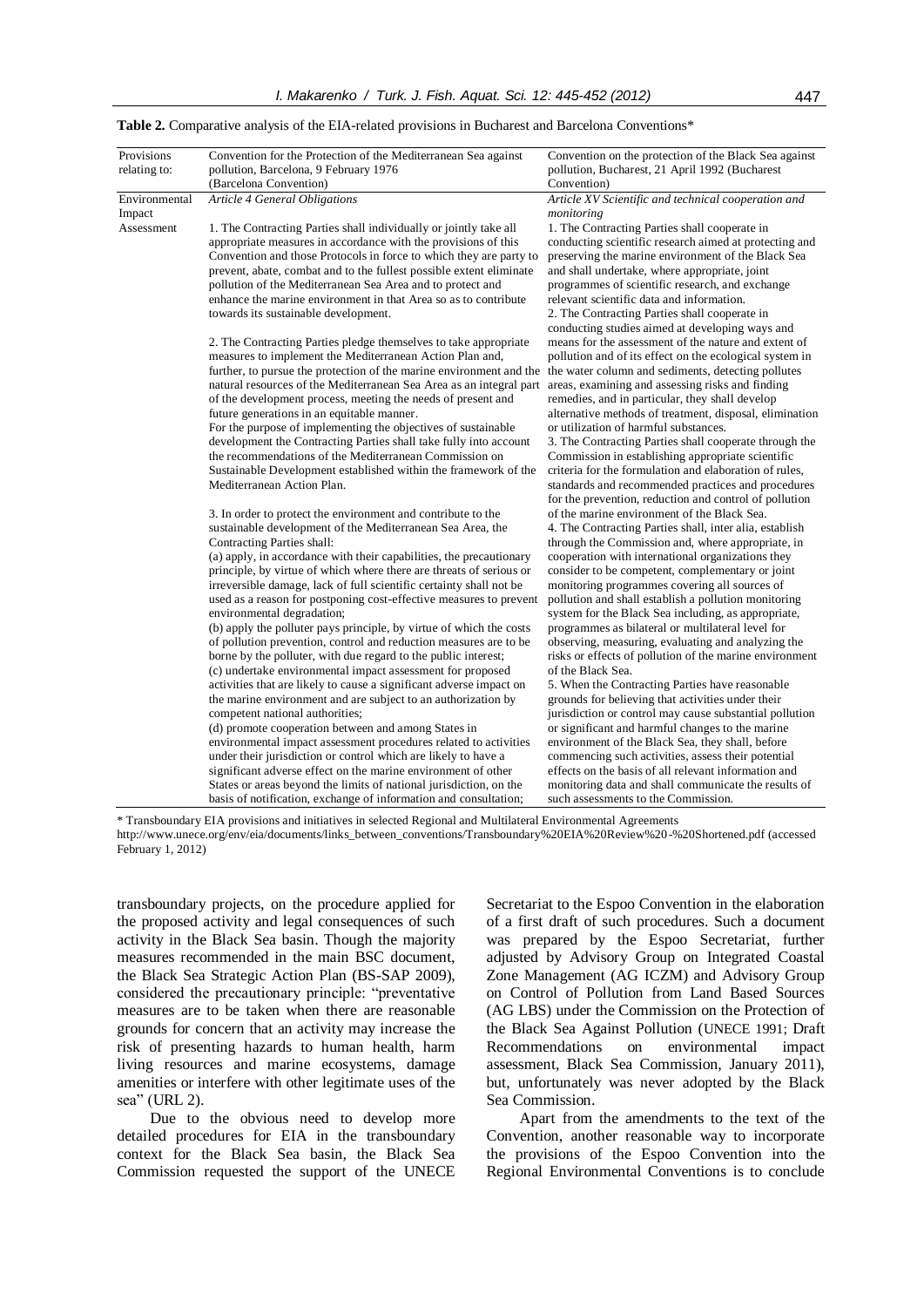| Provisions    | Convention for the Protection of the Mediterranean Sea against                                                                           | Convention on the protection of the Black Sea against                                                        |
|---------------|------------------------------------------------------------------------------------------------------------------------------------------|--------------------------------------------------------------------------------------------------------------|
| relating to:  | pollution, Barcelona, 9 February 1976<br>(Barcelona Convention)                                                                          | pollution, Bucharest, 21 April 1992 (Bucharest<br>Convention)                                                |
| Environmental | Article 4 General Obligations                                                                                                            | Article XV Scientific and technical cooperation and                                                          |
| Impact        |                                                                                                                                          | monitoring                                                                                                   |
| Assessment    | 1. The Contracting Parties shall individually or jointly take all                                                                        | 1. The Contracting Parties shall cooperate in                                                                |
|               | appropriate measures in accordance with the provisions of this<br>Convention and those Protocols in force to which they are party to     | conducting scientific research aimed at protecting and<br>preserving the marine environment of the Black Sea |
|               | prevent, abate, combat and to the fullest possible extent eliminate                                                                      | and shall undertake, where appropriate, joint                                                                |
|               | pollution of the Mediterranean Sea Area and to protect and                                                                               | programmes of scientific research, and exchange                                                              |
|               | enhance the marine environment in that Area so as to contribute                                                                          | relevant scientific data and information.                                                                    |
|               | towards its sustainable development.                                                                                                     | 2. The Contracting Parties shall cooperate in                                                                |
|               |                                                                                                                                          | conducting studies aimed at developing ways and                                                              |
|               | 2. The Contracting Parties pledge themselves to take appropriate                                                                         | means for the assessment of the nature and extent of                                                         |
|               | measures to implement the Mediterranean Action Plan and,                                                                                 | pollution and of its effect on the ecological system in                                                      |
|               | further, to pursue the protection of the marine environment and the the water column and sediments, detecting pollutes                   |                                                                                                              |
|               | natural resources of the Mediterranean Sea Area as an integral part                                                                      | areas, examining and assessing risks and finding                                                             |
|               | of the development process, meeting the needs of present and                                                                             | remedies, and in particular, they shall develop                                                              |
|               | future generations in an equitable manner.                                                                                               | alternative methods of treatment, disposal, elimination                                                      |
|               | For the purpose of implementing the objectives of sustainable                                                                            | or utilization of harmful substances.                                                                        |
|               | development the Contracting Parties shall take fully into account<br>the recommendations of the Mediterranean Commission on              | 3. The Contracting Parties shall cooperate through the                                                       |
|               | Sustainable Development established within the framework of the                                                                          | Commission in establishing appropriate scientific<br>criteria for the formulation and elaboration of rules,  |
|               | Mediterranean Action Plan.                                                                                                               | standards and recommended practices and procedures                                                           |
|               |                                                                                                                                          | for the prevention, reduction and control of pollution                                                       |
|               | 3. In order to protect the environment and contribute to the                                                                             | of the marine environment of the Black Sea.                                                                  |
|               | sustainable development of the Mediterranean Sea Area, the                                                                               | 4. The Contracting Parties shall, inter alia, establish                                                      |
|               | Contracting Parties shall:                                                                                                               | through the Commission and, where appropriate, in                                                            |
|               | (a) apply, in accordance with their capabilities, the precautionary                                                                      | cooperation with international organizations they                                                            |
|               | principle, by virtue of which where there are threats of serious or                                                                      | consider to be competent, complementary or joint                                                             |
|               | irreversible damage, lack of full scientific certainty shall not be                                                                      | monitoring programmes covering all sources of                                                                |
|               | used as a reason for postponing cost-effective measures to prevent                                                                       | pollution and shall establish a pollution monitoring                                                         |
|               | environmental degradation;                                                                                                               | system for the Black Sea including, as appropriate,                                                          |
|               | (b) apply the polluter pays principle, by virtue of which the costs<br>of pollution prevention, control and reduction measures are to be | programmes as bilateral or multilateral level for<br>observing, measuring, evaluating and analyzing the      |
|               | borne by the polluter, with due regard to the public interest;                                                                           | risks or effects of pollution of the marine environment                                                      |
|               | (c) undertake environmental impact assessment for proposed                                                                               | of the Black Sea.                                                                                            |
|               | activities that are likely to cause a significant adverse impact on                                                                      | 5. When the Contracting Parties have reasonable                                                              |
|               | the marine environment and are subject to an authorization by                                                                            | grounds for believing that activities under their                                                            |
|               | competent national authorities;                                                                                                          | jurisdiction or control may cause substantial pollution                                                      |
|               | (d) promote cooperation between and among States in                                                                                      | or significant and harmful changes to the marine                                                             |
|               | environmental impact assessment procedures related to activities                                                                         | environment of the Black Sea, they shall, before                                                             |
|               | under their jurisdiction or control which are likely to have a                                                                           | commencing such activities, assess their potential                                                           |
|               | significant adverse effect on the marine environment of other                                                                            | effects on the basis of all relevant information and                                                         |
|               | States or areas beyond the limits of national jurisdiction, on the                                                                       | monitoring data and shall communicate the results of                                                         |
|               | basis of notification, exchange of information and consultation;                                                                         | such assessments to the Commission.                                                                          |
|               | * Transboundary EIA provisions and initiatives in selected Regional and Multilateral Environmental Agreements                            |                                                                                                              |

#### Table 2. Comparative analysis of the EIA-related provisions in Bucharest and Barcelona Conventions<sup>\*</sup>

http://www.unece.org/env/eia/documents/links\_between\_conventions/Transboundary%20EIA%20Review%20-%20Shortened.pdf (accessed February 1, 2012)

transboundary projects, on the procedure applied for the proposed activity and legal consequences of such activity in the Black Sea basin. Though the majority measures recommended in the main BSC document, the Black Sea Strategic Action Plan (BS-SAP 2009), considered the precautionary principle: "preventative measures are to be taken when there are reasonable grounds for concern that an activity may increase the risk of presenting hazards to human health, harm living resources and marine ecosystems, damage amenities or interfere with other legitimate uses of the sea" [\(URL](http://www.blacksea-commission.org/_bssap2009.asp) 2).

Due to the obvious need to develop more detailed procedures for EIA in the transboundary context for the Black Sea basin, the Black Sea Commission requested the support of the UNECE Secretariat to the Espoo Convention in the elaboration of a first draft of such procedures. Such a document was prepared by the Espoo Secretariat, further adjusted by Advisory Group on Integrated Coastal Zone Management (AG ICZM) and Advisory Group on Control of Pollution from Land Based Sources (AG LBS) under the Commission on the Protection of the Black Sea Against Pollution (UNECE 1991; Draft Recommendations on environmental impact assessment, Black Sea Commission, January 2011), but, unfortunately was never adopted by the Black Sea Commission.

Apart from the amendments to the text of the Convention, another reasonable way to incorporate the provisions of the Espoo Convention into the Regional Environmental Conventions is to conclude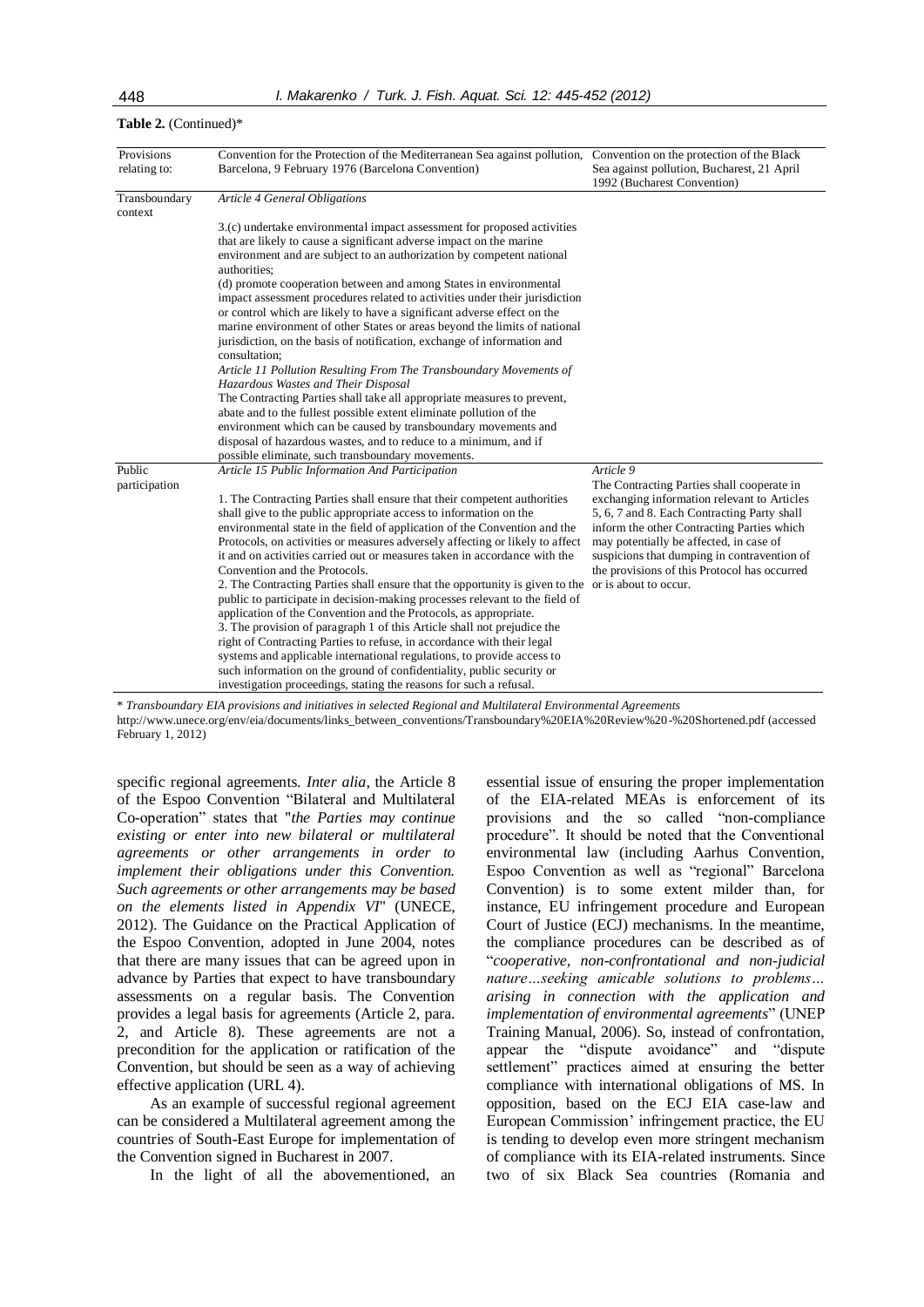| Provisions<br>relating to: | Convention for the Protection of the Mediterranean Sea against pollution, Convention on the protection of the Black<br>Barcelona, 9 February 1976 (Barcelona Convention)                                                                                                                                                                                                                                                                                                                                                                                                                                                                                                                                                                                                                                                                                                                                                                                                                                                                                                                     | Sea against pollution, Bucharest, 21 April<br>1992 (Bucharest Convention)                                                                                                                                                                                                                                                                                              |
|----------------------------|----------------------------------------------------------------------------------------------------------------------------------------------------------------------------------------------------------------------------------------------------------------------------------------------------------------------------------------------------------------------------------------------------------------------------------------------------------------------------------------------------------------------------------------------------------------------------------------------------------------------------------------------------------------------------------------------------------------------------------------------------------------------------------------------------------------------------------------------------------------------------------------------------------------------------------------------------------------------------------------------------------------------------------------------------------------------------------------------|------------------------------------------------------------------------------------------------------------------------------------------------------------------------------------------------------------------------------------------------------------------------------------------------------------------------------------------------------------------------|
| Transboundary<br>context   | Article 4 General Obligations                                                                                                                                                                                                                                                                                                                                                                                                                                                                                                                                                                                                                                                                                                                                                                                                                                                                                                                                                                                                                                                                |                                                                                                                                                                                                                                                                                                                                                                        |
|                            | 3.(c) undertake environmental impact assessment for proposed activities<br>that are likely to cause a significant adverse impact on the marine<br>environment and are subject to an authorization by competent national<br>authorities:<br>(d) promote cooperation between and among States in environmental<br>impact assessment procedures related to activities under their jurisdiction<br>or control which are likely to have a significant adverse effect on the<br>marine environment of other States or areas beyond the limits of national<br>jurisdiction, on the basis of notification, exchange of information and<br>consultation:<br>Article 11 Pollution Resulting From The Transboundary Movements of<br>Hazardous Wastes and Their Disposal                                                                                                                                                                                                                                                                                                                                 |                                                                                                                                                                                                                                                                                                                                                                        |
|                            | The Contracting Parties shall take all appropriate measures to prevent,<br>abate and to the fullest possible extent eliminate pollution of the<br>environment which can be caused by transboundary movements and<br>disposal of hazardous wastes, and to reduce to a minimum, and if<br>possible eliminate, such transboundary movements.                                                                                                                                                                                                                                                                                                                                                                                                                                                                                                                                                                                                                                                                                                                                                    |                                                                                                                                                                                                                                                                                                                                                                        |
| Public<br>participation    | Article 15 Public Information And Participation<br>1. The Contracting Parties shall ensure that their competent authorities<br>shall give to the public appropriate access to information on the<br>environmental state in the field of application of the Convention and the<br>Protocols, on activities or measures adversely affecting or likely to affect<br>it and on activities carried out or measures taken in accordance with the<br>Convention and the Protocols.<br>2. The Contracting Parties shall ensure that the opportunity is given to the<br>public to participate in decision-making processes relevant to the field of<br>application of the Convention and the Protocols, as appropriate.<br>3. The provision of paragraph 1 of this Article shall not prejudice the<br>right of Contracting Parties to refuse, in accordance with their legal<br>systems and applicable international regulations, to provide access to<br>such information on the ground of confidentiality, public security or<br>investigation proceedings, stating the reasons for such a refusal. | Article 9<br>The Contracting Parties shall cooperate in<br>exchanging information relevant to Articles<br>5, 6, 7 and 8. Each Contracting Party shall<br>inform the other Contracting Parties which<br>may potentially be affected, in case of<br>suspicions that dumping in contravention of<br>the provisions of this Protocol has occurred<br>or is about to occur. |

**Table 2.** (Continued)\*

\* *Transboundary EIA provisions and initiatives in selected Regional and Multilateral Environmental Agreements* http://www.unece.org/env/eia/documents/links\_between\_conventions/Transboundary%20EIA%20Review%20-%20Shortened.pdf (accessed

February 1, 2012)

specific regional agreements. *Inter alia*, the Article 8 of the Espoo Convention "Bilateral and Multilateral Co-operation" states that "*the Parties may continue existing or enter into new bilateral or multilateral agreements or other arrangements in order to implement their obligations under this Convention. Such agreements or other arrangements may be based on the elements listed in [Appendix VI](http://www.unece.org/env/eia/about/eia_text.html#appendix6)*" (UNECE, 2012). The Guidance on the Practical Application of the Espoo Convention, adopted in June 2004, notes that there are many issues that can be agreed upon in advance by Parties that expect to have transboundary assessments on a regular basis. The Convention provides a legal basis for agreements (Article 2, para. 2, and Article 8). These agreements are not a precondition for the application or ratification of the Convention, but should be seen as a way of achieving effective application (URL 4).

As an example of successful regional agreement can be considered a Multilateral agreement among the countries of South-East Europe for implementation of the Convention signed in Bucharest in 2007.

In the light of all the abovementioned, an

essential issue of ensuring the proper implementation of the EIA-related MEAs is enforcement of its provisions and the so called "non-compliance procedure". It should be noted that the Conventional environmental law (including Aarhus Convention, Espoo Convention as well as "regional" Barcelona Convention) is to some extent milder than, for instance, EU infringement procedure and European Court of Justice (ECJ) mechanisms. In the meantime, the compliance procedures can be described as of "*cooperative, non-confrontational and non-judicial nature…seeking amicable solutions to problems… arising in connection with the application and implementation of environmental agreements*" (UNEP Training Manual, 2006). So, instead of confrontation, appear the "dispute avoidance" and "dispute settlement" practices aimed at ensuring the better compliance with international obligations of MS. In opposition, based on the ECJ EIA case-law and European Commission' infringement practice, the EU is tending to develop even more stringent mechanism of compliance with its EIA-related instruments. Since two of six Black Sea countries (Romania and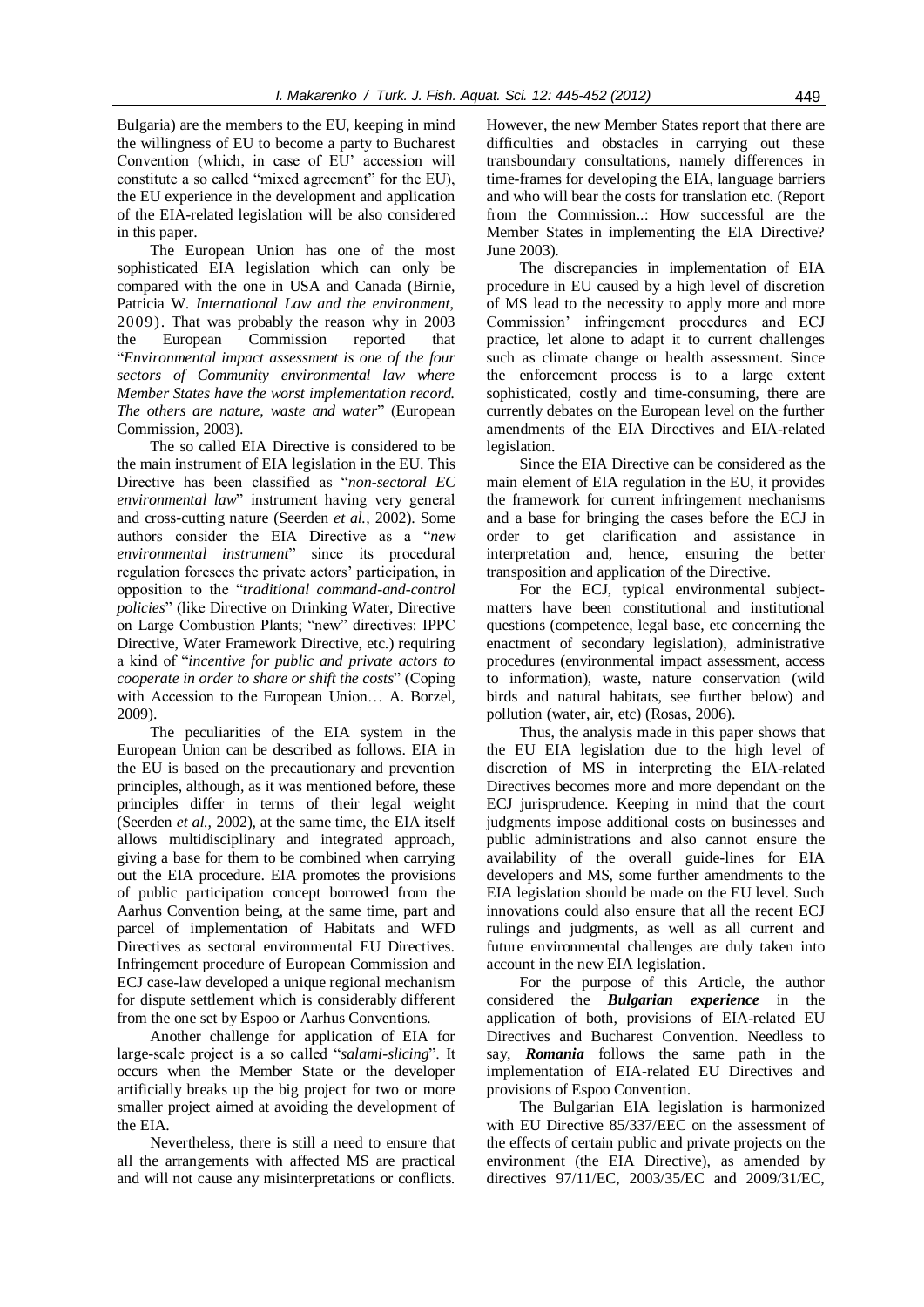Bulgaria) are the members to the EU, keeping in mind the willingness of EU to become a party to Bucharest Convention (which, in case of EU' accession will constitute a so called "mixed agreement" for the EU), the EU experience in the development and application of the EIA-related legislation will be also considered in this paper.

The European Union has one of the most sophisticated EIA legislation which can only be compared with the one in USA and Canada (Birnie, Patricia W. *International Law and the environment*, 2009). That was probably the reason why in 2003 the European Commission reported that "*Environmental impact assessment is one of the four sectors of Community environmental law where Member States have the worst implementation record. The others are nature, waste and water*" (European Commission, 2003).

The so called EIA Directive is considered to be the main instrument of EIA legislation in the EU. This Directive has been classified as "*non-sectoral EC environmental law*" instrument having very general and cross-cutting nature (Seerden *et al.,* 2002). Some authors consider the EIA Directive as a "*new environmental instrument*" since its procedural regulation foresees the private actors' participation, in opposition to the "*traditional command-and-control policies*" (like Directive on Drinking Water, Directive on Large Combustion Plants; "new" directives: IPPC Directive, Water Framework Directive, etc.) requiring a kind of "*incentive for public and private actors to cooperate in order to share or shift the costs*" (Coping with Accession to the European Union… A. Borzel, 2009).

The peculiarities of the EIA system in the European Union can be described as follows. EIA in the EU is based on the precautionary and prevention principles, although, as it was mentioned before, these principles differ in terms of their legal weight (Seerden *et al.,* 2002), at the same time, the EIA itself allows multidisciplinary and integrated approach, giving a base for them to be combined when carrying out the EIA procedure. EIA promotes the provisions of public participation concept borrowed from the Aarhus Convention being, at the same time, part and parcel of implementation of Habitats and WFD Directives as sectoral environmental EU Directives. Infringement procedure of European Commission and ECJ case-law developed a unique regional mechanism for dispute settlement which is considerably different from the one set by Espoo or Aarhus Conventions.

Another challenge for application of EIA for large-scale project is a so called "*salami-slicing*". It occurs when the Member State or the developer artificially breaks up the big project for two or more smaller project aimed at avoiding the development of the EIA.

Nevertheless, there is still a need to ensure that all the arrangements with affected MS are practical and will not cause any misinterpretations or conflicts.

However, the new Member States report that there are difficulties and obstacles in carrying out these transboundary consultations, namely differences in time-frames for developing the EIA, language barriers and who will bear the costs for translation etc. (Report from the Commission..: How successful are the Member States in implementing the EIA Directive? June 2003).

The discrepancies in implementation of EIA procedure in EU caused by a high level of discretion of MS lead to the necessity to apply more and more Commission' infringement procedures and ECJ practice, let alone to adapt it to current challenges such as climate change or health assessment. Since the enforcement process is to a large extent sophisticated, costly and time-consuming, there are currently debates on the European level on the further amendments of the EIA Directives and EIA-related legislation.

Since the EIA Directive can be considered as the main element of EIA regulation in the EU, it provides the framework for current infringement mechanisms and a base for bringing the cases before the ECJ in order to get clarification and assistance in interpretation and, hence, ensuring the better transposition and application of the Directive.

For the ECJ, typical environmental subjectmatters have been constitutional and institutional questions (competence, legal base, etc concerning the enactment of secondary legislation), administrative procedures (environmental impact assessment, access to information), waste, nature conservation (wild birds and natural habitats, see further below) and pollution (water, air, etc) (Rosas, 2006).

Thus, the analysis made in this paper shows that the EU EIA legislation due to the high level of discretion of MS in interpreting the EIA-related Directives becomes more and more dependant on the ECJ jurisprudence. Keeping in mind that the court judgments impose additional costs on businesses and public administrations and also cannot ensure the availability of the overall guide-lines for EIA developers and MS, some further amendments to the EIA legislation should be made on the EU level. Such innovations could also ensure that all the recent ECJ rulings and judgments, as well as all current and future environmental challenges are duly taken into account in the new EIA legislation.

For the purpose of this Article, the author considered the *Bulgarian experience* in the application of both, provisions of EIA-related EU Directives and Bucharest Convention. Needless to say, *Romania* follows the same path in the implementation of EIA-related EU Directives and provisions of Espoo Convention.

The Bulgarian EIA legislation is harmonized with EU Directive 85/337/EEC on the assessment of the effects of certain public and private projects on the environment (the EIA Directive), as amended by directives 97/11/EC, 2003/35/EC and 2009/31/EC,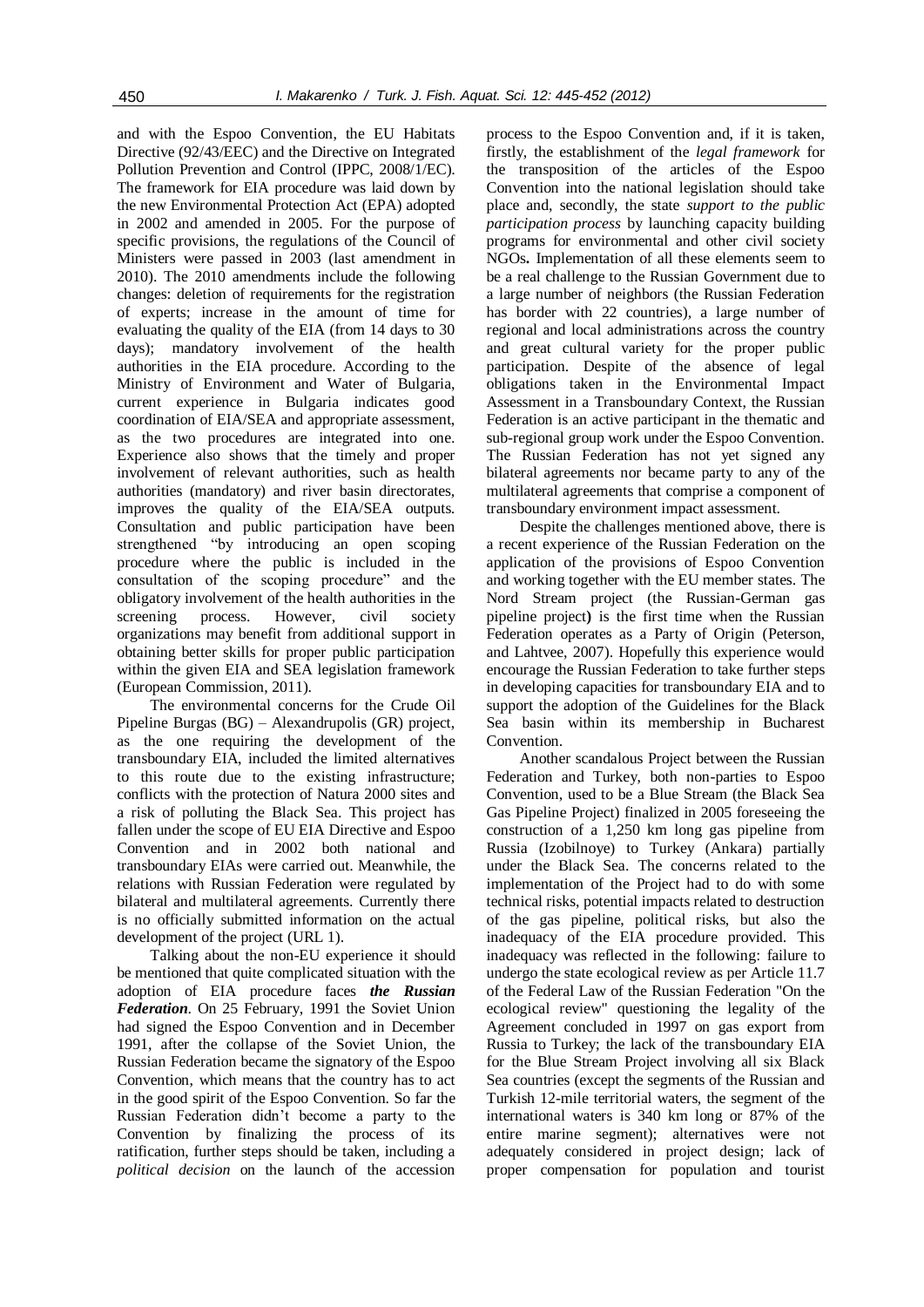and with the Espoo Convention, the EU Habitats Directive (92/43/EEC) and the Directive on Integrated Pollution Prevention and Control (IPPC, 2008/1/EC). The framework for EIA procedure was laid down by the new Environmental Protection Act (EPA) adopted in 2002 and amended in 2005. For the purpose of specific provisions, the regulations of the Council of Ministers were passed in 2003 (last amendment in 2010). The 2010 amendments include the following changes: deletion of requirements for the registration of experts; increase in the amount of time for evaluating the quality of the EIA (from 14 days to 30 days); mandatory involvement of the health authorities in the EIA procedure. According to the Ministry of Environment and Water of Bulgaria, current experience in Bulgaria indicates good coordination of EIA/SEA and appropriate assessment, as the two procedures are integrated into one. Experience also shows that the timely and proper involvement of relevant authorities, such as health authorities (mandatory) and river basin directorates, improves the quality of the EIA/SEA outputs. Consultation and public participation have been strengthened "by introducing an open scoping procedure where the public is included in the consultation of the scoping procedure" and the obligatory involvement of the health authorities in the screening process. However, civil society organizations may benefit from additional support in obtaining better skills for proper public participation within the given EIA and SEA legislation framework (European Commission, 2011).

The environmental concerns for the Crude Oil Pipeline Burgas (BG) – Alexandrupolis (GR) project, as the one requiring the development of the transboundary EIA, included the limited alternatives to this route due to the existing infrastructure; conflicts with the protection of Natura 2000 sites and a risk of polluting the Black Sea. This project has fallen under the scope of EU EIA Directive and Espoo Convention and in 2002 both national and transboundary EIAs were carried out. Meanwhile, the relations with Russian Federation were regulated by bilateral and multilateral agreements. Currently there is no officially submitted information on the actual development of the project (URL 1).

Talking about the non-EU experience it should be mentioned that quite complicated situation with the adoption of EIA procedure faces *the Russian Federation*. On 25 February, 1991 the Soviet Union had signed the Espoo Convention and in December 1991, after the collapse of the Soviet Union, the Russian Federation became the signatory of the Espoo Convention, which means that the country has to act in the good spirit of the Espoo Convention. So far the Russian Federation didn't become a party to the Convention by finalizing the process of its ratification, further steps should be taken, including a *political decision* on the launch of the accession

process to the Espoo Convention and, if it is taken, firstly, the establishment of the *legal framework* for the transposition of the articles of the Espoo Convention into the national legislation should take place and, secondly, the state *support to the public participation process* by launching capacity building programs for environmental and other civil society NGOs**.** Implementation of all these elements seem to be a real challenge to the Russian Government due to a large number of neighbors (the Russian Federation has border with 22 countries), a large number of regional and local administrations across the country and great cultural variety for the proper public participation. Despite of the absence of legal obligations taken in the Environmental Impact Assessment in a Transboundary Context, the Russian Federation is an active participant in the thematic and sub-regional group work under the Espoo Convention. The Russian Federation has not yet signed any bilateral agreements nor became party to any of the multilateral agreements that comprise a component of transboundary environment impact assessment.

Despite the challenges mentioned above, there is a recent experience of the Russian Federation on the application of the provisions of Espoo Convention and working together with the EU member states. The Nord Stream project (the Russian-German gas pipeline project**)** is the first time when the Russian Federation operates as a Party of Origin (Peterson, and Lahtvee, 2007). Hopefully this experience would encourage the Russian Federation to take further steps in developing capacities for transboundary EIA and to support the adoption of the Guidelines for the Black Sea basin within its membership in Bucharest Convention.

Another scandalous Project between the Russian Federation and Turkey, both non-parties to Espoo Convention, used to be a Blue Stream (the Black Sea Gas Pipeline Project) finalized in 2005 foreseeing the construction of a 1,250 km long gas pipeline from Russia (Izobilnoye) to Turkey (Ankara) partially under the Black Sea. The concerns related to the implementation of the Project had to do with some technical risks, potential impacts related to destruction of the gas pipeline, political risks, but also the inadequacy of the EIA procedure provided. This inadequacy was reflected in the following: failure to undergo the state ecological review as per Article 11.7 of the Federal Law of the Russian Federation "On the ecological review" questioning the legality of the Agreement concluded in 1997 on gas export from Russia to Turkey; the lack of the transboundary EIA for the Blue Stream Project involving all six Black Sea countries (except the segments of the Russian and Turkish 12-mile territorial waters, the segment of the international waters is 340 km long or 87% of the entire marine segment); alternatives were not adequately considered in project design; lack of proper compensation for population and tourist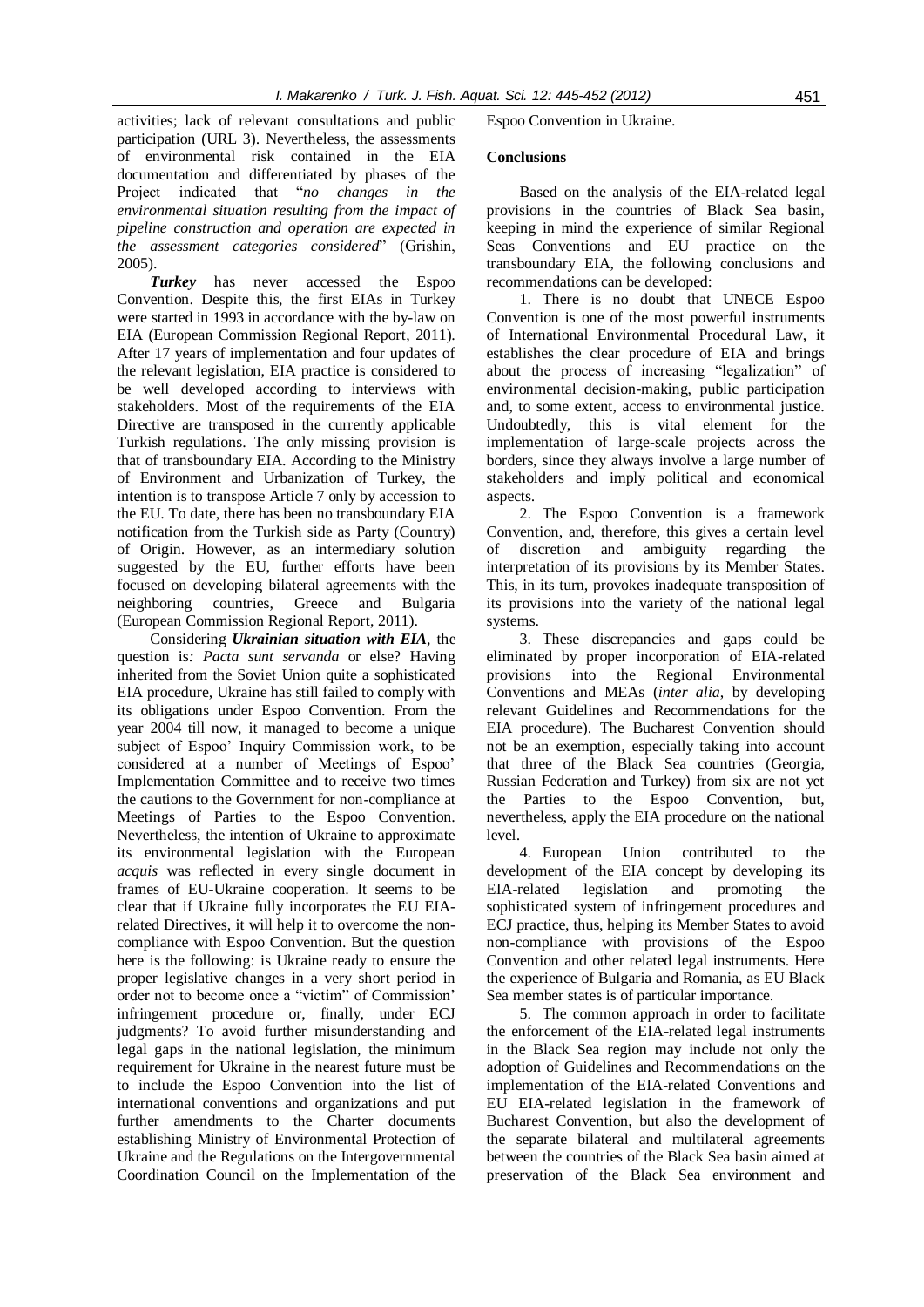activities; lack of relevant consultations and public participation (URL 3). Nevertheless, the assessments of environmental risk contained in the EIA documentation and differentiated by phases of the Project indicated that "*no changes in the environmental situation resulting from the impact of pipeline construction and operation are expected in the assessment categories considered*" (Grishin, 2005).

*Turkey* has never accessed the Espoo Convention. Despite this, the first EIAs in Turkey were started in 1993 in accordance with the by-law on EIA (European Commission Regional Report, 2011). After 17 years of implementation and four updates of the relevant legislation, EIA practice is considered to be well developed according to interviews with stakeholders. Most of the requirements of the EIA Directive are transposed in the currently applicable Turkish regulations. The only missing provision is that of transboundary EIA. According to the Ministry of Environment and Urbanization of Turkey, the intention is to transpose Article 7 only by accession to the EU. To date, there has been no transboundary EIA notification from the Turkish side as Party (Country) of Origin. However, as an intermediary solution suggested by the EU, further efforts have been focused on developing bilateral agreements with the neighboring countries, Greece and Bulgaria (European Commission Regional Report, 2011).

Considering *Ukrainian situation with EIA*, the question is*: Pacta sunt servanda* or else? Having inherited from the Soviet Union quite a sophisticated EIA procedure, Ukraine has still failed to comply with its obligations under Espoo Convention. From the year 2004 till now, it managed to become a unique subject of Espoo' Inquiry Commission work, to be considered at a number of Meetings of Espoo' Implementation Committee and to receive two times the cautions to the Government for non-compliance at Meetings of Parties to the Espoo Convention. Nevertheless, the intention of Ukraine to approximate its environmental legislation with the European *acquis* was reflected in every single document in frames of EU-Ukraine cooperation. It seems to be clear that if Ukraine fully incorporates the EU EIArelated Directives, it will help it to overcome the noncompliance with Espoo Convention. But the question here is the following: is Ukraine ready to ensure the proper legislative changes in a very short period in order not to become once a "victim" of Commission' infringement procedure or, finally, under ECJ judgments? To avoid further misunderstanding and legal gaps in the national legislation, the minimum requirement for Ukraine in the nearest future must be to include the Espoo Convention into the list of international conventions and organizations and put further amendments to the Charter documents establishing Ministry of Environmental Protection of Ukraine and the Regulations on the Intergovernmental Coordination Council on the Implementation of the

Espoo Convention in Ukraine.

#### **Conclusions**

Based on the analysis of the EIA-related legal provisions in the countries of Black Sea basin, keeping in mind the experience of similar Regional Seas Conventions and EU practice on the transboundary EIA, the following conclusions and recommendations can be developed:

1. There is no doubt that UNECE Espoo Convention is one of the most powerful instruments of International Environmental Procedural Law, it establishes the clear procedure of EIA and brings about the process of increasing "legalization" of environmental decision-making, public participation and, to some extent, access to environmental justice. Undoubtedly, this is vital element for the implementation of large-scale projects across the borders, since they always involve a large number of stakeholders and imply political and economical aspects.

2. The Espoo Convention is a framework Convention, and, therefore, this gives a certain level of discretion and ambiguity regarding the interpretation of its provisions by its Member States. This, in its turn, provokes inadequate transposition of its provisions into the variety of the national legal systems.

3. These discrepancies and gaps could be eliminated by proper incorporation of EIA-related provisions into the Regional Environmental Conventions and MEAs (*inter alia*, by developing relevant Guidelines and Recommendations for the EIA procedure). The Bucharest Convention should not be an exemption, especially taking into account that three of the Black Sea countries (Georgia, Russian Federation and Turkey) from six are not yet the Parties to the Espoo Convention, but, nevertheless, apply the EIA procedure on the national level.

4. European Union contributed to the development of the EIA concept by developing its EIA-related legislation and promoting the sophisticated system of infringement procedures and ECJ practice, thus, helping its Member States to avoid non-compliance with provisions of the Espoo Convention and other related legal instruments. Here the experience of Bulgaria and Romania, as EU Black Sea member states is of particular importance.

5. The common approach in order to facilitate the enforcement of the EIA-related legal instruments in the Black Sea region may include not only the adoption of Guidelines and Recommendations on the implementation of the EIA-related Conventions and EU EIA-related legislation in the framework of Bucharest Convention, but also the development of the separate bilateral and multilateral agreements between the countries of the Black Sea basin aimed at preservation of the Black Sea environment and